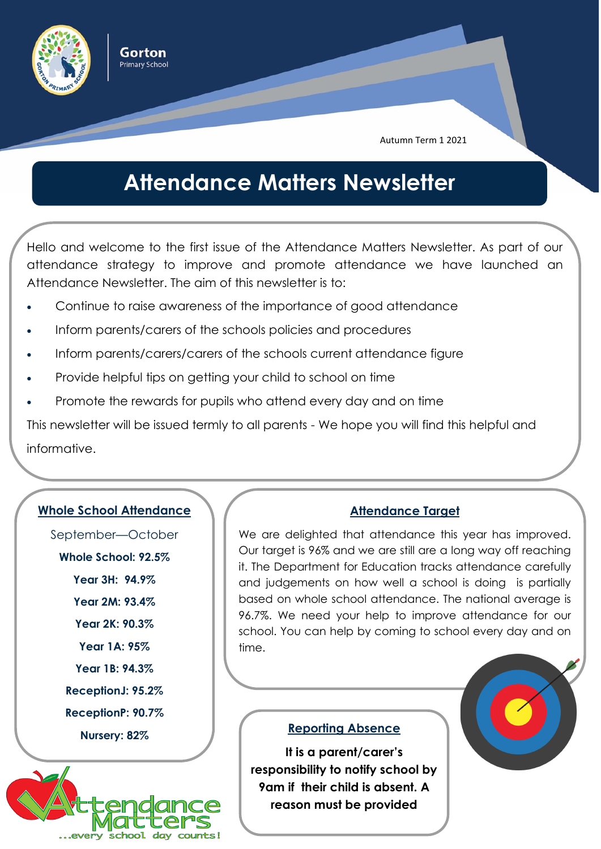

Gorton **Primary School** 

Autumn Term 1 2021

## **Attendance Matters Newsletter**

Hello and welcome to the first issue of the Attendance Matters Newsletter. As part of our attendance strategy to improve and promote attendance we have launched an Attendance Newsletter. The aim of this newsletter is to:

- Continue to raise awareness of the importance of good attendance
- Inform parents/carers of the schools policies and procedures
- Inform parents/carers/carers of the schools current attendance figure
- Provide helpful tips on getting your child to school on time
- Promote the rewards for pupils who attend every day and on time

This newsletter will be issued termly to all parents - We hope you will find this helpful and informative.

### **Whole School Attendance**

September—October

**Whole School: 92.5%**

**Year 3H: 94.9%**

**Year 2M: 93.4%**

**Year 2K: 90.3%**

**Year 1A: 95%**

**Year 1B: 94.3%**

**ReceptionJ: 95.2%**

**ReceptionP: 90.7%**

**Nursery: 82%**



### **Attendance Target**

We are delighted that attendance this year has improved. Our target is 96% and we are still are a long way off reaching it. The Department for Education tracks attendance carefully and judgements on how well a school is doing is partially based on whole school attendance. The national average is 96.7%. We need your help to improve attendance for our school. You can help by coming to school every day and on time.

#### **Reporting Absence**

**It is a parent/carer's responsibility to notify school by 9am if their child is absent. A reason must be provided**

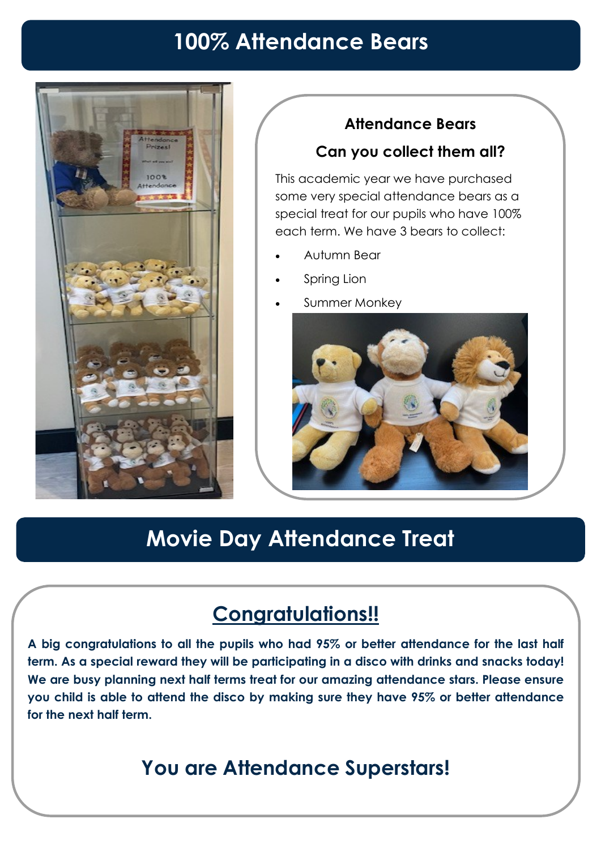# **100% Attendance Bears**



### **Attendance Bears**

### **Can you collect them all?**

This academic year we have purchased some very special attendance bears as a special treat for our pupils who have 100% each term. We have 3 bears to collect:

- Autumn Bear
- Spring Lion
- Summer Monkey



# **Movie Day Attendance Treat**

## **Congratulations!!**

**A big congratulations to all the pupils who had 95% or better attendance for the last half term. As a special reward they will be participating in a disco with drinks and snacks today! We are busy planning next half terms treat for our amazing attendance stars. Please ensure you child is able to attend the disco by making sure they have 95% or better attendance for the next half term.** 

## **You are Attendance Superstars!**